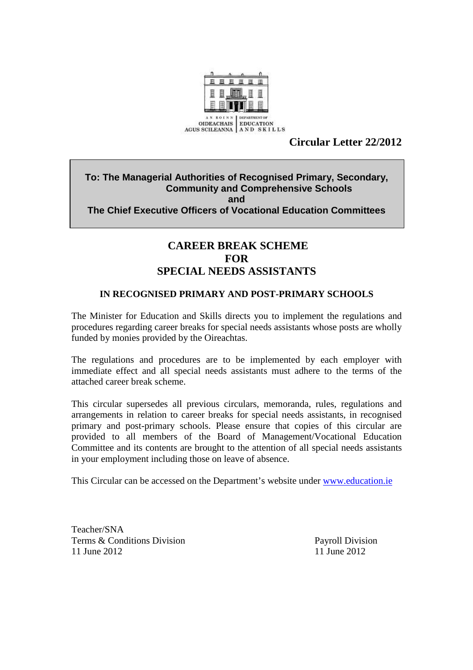

# **Circular Letter 22/2012**

## **To: The Managerial Authorities of Recognised Primary, Secondary, Community and Comprehensive Schools and The Chief Executive Officers of Vocational Education Committees**

# **CAREER BREAK SCHEME FOR SPECIAL NEEDS ASSISTANTS**

#### **IN RECOGNISED PRIMARY AND POST-PRIMARY SCHOOLS**

The Minister for Education and Skills directs you to implement the regulations and procedures regarding career breaks for special needs assistants whose posts are wholly funded by monies provided by the Oireachtas.

The regulations and procedures are to be implemented by each employer with immediate effect and all special needs assistants must adhere to the terms of the attached career break scheme.

This circular supersedes all previous circulars, memoranda, rules, regulations and arrangements in relation to career breaks for special needs assistants, in recognised primary and post-primary schools. Please ensure that copies of this circular are provided to all members of the Board of Management/Vocational Education Committee and its contents are brought to the attention of all special needs assistants in your employment including those on leave of absence.

This Circular can be accessed on the Department's website under www.education.ie

Teacher/SNA Terms & Conditions Division Payroll Division 11 June 2012 11 June 2012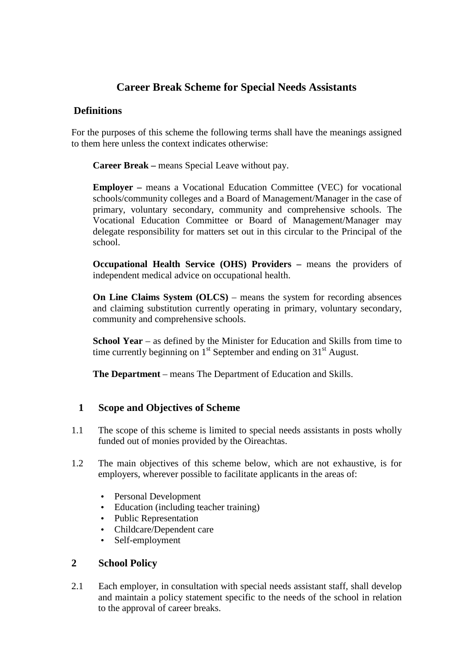# **Career Break Scheme for Special Needs Assistants**

# **Definitions**

For the purposes of this scheme the following terms shall have the meanings assigned to them here unless the context indicates otherwise:

**Career Break –** means Special Leave without pay.

**Employer –** means a Vocational Education Committee (VEC) for vocational schools/community colleges and a Board of Management/Manager in the case of primary, voluntary secondary, community and comprehensive schools. The Vocational Education Committee or Board of Management/Manager may delegate responsibility for matters set out in this circular to the Principal of the school.

**Occupational Health Service (OHS) Providers – means the providers of** independent medical advice on occupational health.

**On Line Claims System (OLCS)** – means the system for recording absences and claiming substitution currently operating in primary, voluntary secondary, community and comprehensive schools.

**School Year** – as defined by the Minister for Education and Skills from time to time currently beginning on  $1<sup>st</sup>$  September and ending on  $31<sup>st</sup>$  August.

**The Department** – means The Department of Education and Skills.

## **1 Scope and Objectives of Scheme**

- 1.1 The scope of this scheme is limited to special needs assistants in posts wholly funded out of monies provided by the Oireachtas.
- 1.2 The main objectives of this scheme below, which are not exhaustive, is for employers, wherever possible to facilitate applicants in the areas of:
	- Personal Development
	- Education (including teacher training)
	- Public Representation
	- Childcare/Dependent care
	- Self-employment

## **2 School Policy**

2.1 Each employer, in consultation with special needs assistant staff, shall develop and maintain a policy statement specific to the needs of the school in relation to the approval of career breaks.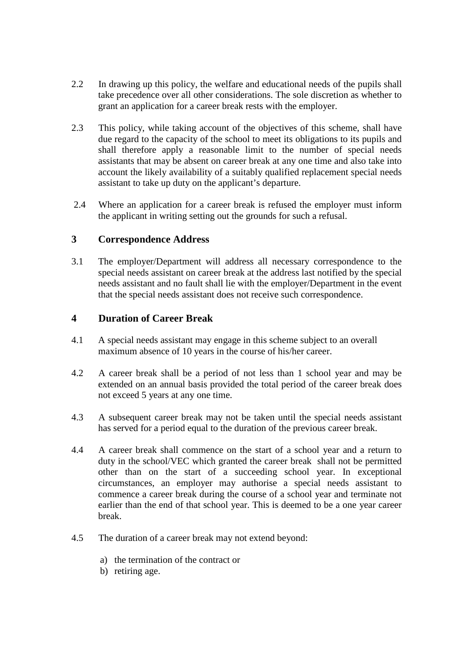- 2.2 In drawing up this policy, the welfare and educational needs of the pupils shall take precedence over all other considerations. The sole discretion as whether to grant an application for a career break rests with the employer.
- 2.3 This policy, while taking account of the objectives of this scheme, shall have due regard to the capacity of the school to meet its obligations to its pupils and shall therefore apply a reasonable limit to the number of special needs assistants that may be absent on career break at any one time and also take into account the likely availability of a suitably qualified replacement special needs assistant to take up duty on the applicant's departure.
- 2.4 Where an application for a career break is refused the employer must inform the applicant in writing setting out the grounds for such a refusal.

## **3 Correspondence Address**

3.1 The employer/Department will address all necessary correspondence to the special needs assistant on career break at the address last notified by the special needs assistant and no fault shall lie with the employer/Department in the event that the special needs assistant does not receive such correspondence.

## **4 Duration of Career Break**

- 4.1 A special needs assistant may engage in this scheme subject to an overall maximum absence of 10 years in the course of his/her career.
- 4.2 A career break shall be a period of not less than 1 school year and may be extended on an annual basis provided the total period of the career break does not exceed 5 years at any one time.
- 4.3 A subsequent career break may not be taken until the special needs assistant has served for a period equal to the duration of the previous career break.
- 4.4 A career break shall commence on the start of a school year and a return to duty in the school/VEC which granted the career break shall not be permitted other than on the start of a succeeding school year. In exceptional circumstances, an employer may authorise a special needs assistant to commence a career break during the course of a school year and terminate not earlier than the end of that school year. This is deemed to be a one year career break.
- 4.5 The duration of a career break may not extend beyond:
	- a) the termination of the contract or
	- b) retiring age.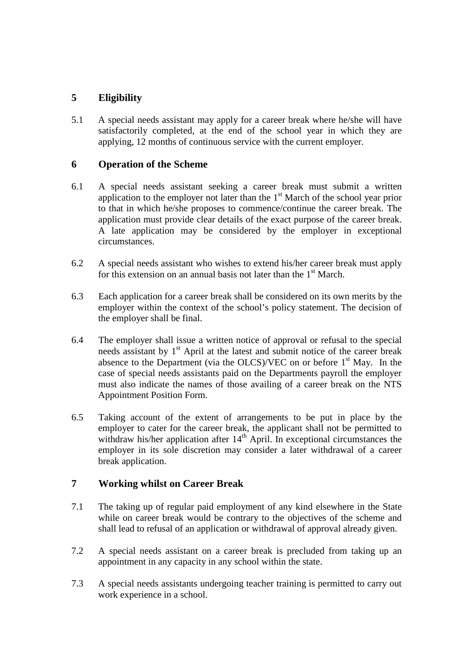# **5 Eligibility**

5.1 A special needs assistant may apply for a career break where he/she will have satisfactorily completed, at the end of the school year in which they are applying, 12 months of continuous service with the current employer.

#### **6 Operation of the Scheme**

- 6.1 A special needs assistant seeking a career break must submit a written application to the employer not later than the  $1<sup>st</sup>$  March of the school year prior to that in which he/she proposes to commence/continue the career break. The application must provide clear details of the exact purpose of the career break. A late application may be considered by the employer in exceptional circumstances.
- 6.2 A special needs assistant who wishes to extend his/her career break must apply for this extension on an annual basis not later than the  $1<sup>st</sup>$  March.
- 6.3 Each application for a career break shall be considered on its own merits by the employer within the context of the school's policy statement. The decision of the employer shall be final.
- 6.4 The employer shall issue a written notice of approval or refusal to the special needs assistant by  $1<sup>st</sup>$  April at the latest and submit notice of the career break absence to the Department (via the OLCS)/VEC on or before  $1<sup>st</sup>$  May. In the case of special needs assistants paid on the Departments payroll the employer must also indicate the names of those availing of a career break on the NTS Appointment Position Form.
- 6.5 Taking account of the extent of arrangements to be put in place by the employer to cater for the career break, the applicant shall not be permitted to withdraw his/her application after  $14<sup>th</sup>$  April. In exceptional circumstances the employer in its sole discretion may consider a later withdrawal of a career break application.

## **7 Working whilst on Career Break**

- 7.1 The taking up of regular paid employment of any kind elsewhere in the State while on career break would be contrary to the objectives of the scheme and shall lead to refusal of an application or withdrawal of approval already given.
- 7.2 A special needs assistant on a career break is precluded from taking up an appointment in any capacity in any school within the state.
- 7.3 A special needs assistants undergoing teacher training is permitted to carry out work experience in a school.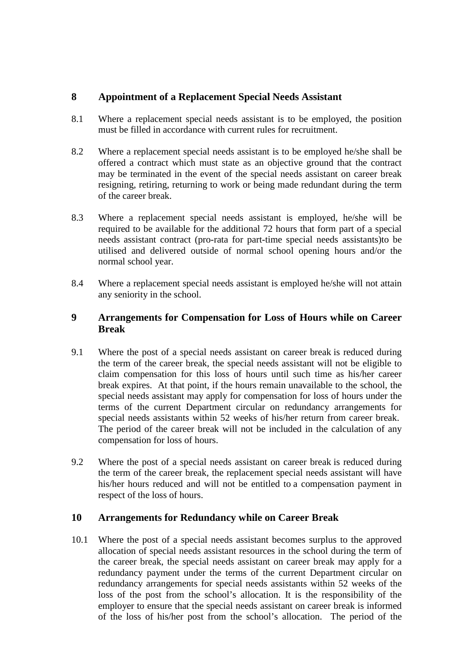## **8 Appointment of a Replacement Special Needs Assistant**

- 8.1 Where a replacement special needs assistant is to be employed, the position must be filled in accordance with current rules for recruitment.
- 8.2 Where a replacement special needs assistant is to be employed he/she shall be offered a contract which must state as an objective ground that the contract may be terminated in the event of the special needs assistant on career break resigning, retiring, returning to work or being made redundant during the term of the career break.
- 8.3 Where a replacement special needs assistant is employed, he/she will be required to be available for the additional 72 hours that form part of a special needs assistant contract (pro-rata for part-time special needs assistants)to be utilised and delivered outside of normal school opening hours and/or the normal school year.
- 8.4 Where a replacement special needs assistant is employed he/she will not attain any seniority in the school.

#### **9 Arrangements for Compensation for Loss of Hours while on Career Break**

- 9.1 Where the post of a special needs assistant on career break is reduced during the term of the career break, the special needs assistant will not be eligible to claim compensation for this loss of hours until such time as his/her career break expires. At that point, if the hours remain unavailable to the school, the special needs assistant may apply for compensation for loss of hours under the terms of the current Department circular on redundancy arrangements for special needs assistants within 52 weeks of his/her return from career break. The period of the career break will not be included in the calculation of any compensation for loss of hours.
- 9.2 Where the post of a special needs assistant on career break is reduced during the term of the career break, the replacement special needs assistant will have his/her hours reduced and will not be entitled to a compensation payment in respect of the loss of hours.

#### **10 Arrangements for Redundancy while on Career Break**

10.1 Where the post of a special needs assistant becomes surplus to the approved allocation of special needs assistant resources in the school during the term of the career break, the special needs assistant on career break may apply for a redundancy payment under the terms of the current Department circular on redundancy arrangements for special needs assistants within 52 weeks of the loss of the post from the school's allocation. It is the responsibility of the employer to ensure that the special needs assistant on career break is informed of the loss of his/her post from the school's allocation. The period of the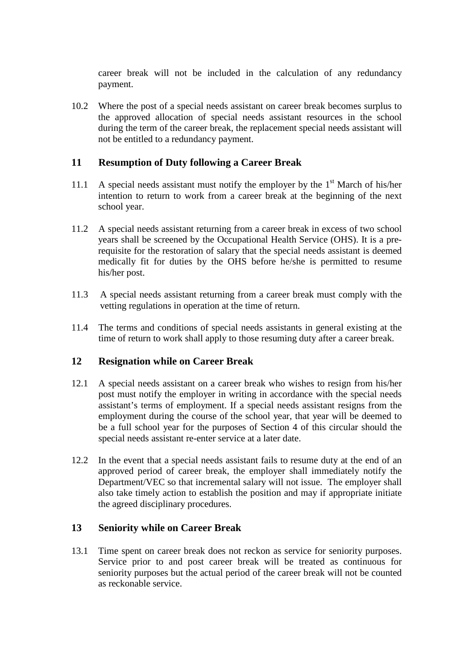career break will not be included in the calculation of any redundancy payment.

10.2 Where the post of a special needs assistant on career break becomes surplus to the approved allocation of special needs assistant resources in the school during the term of the career break, the replacement special needs assistant will not be entitled to a redundancy payment.

#### **11 Resumption of Duty following a Career Break**

- 11.1 A special needs assistant must notify the employer by the  $1<sup>st</sup>$  March of his/her intention to return to work from a career break at the beginning of the next school year.
- 11.2 A special needs assistant returning from a career break in excess of two school years shall be screened by the Occupational Health Service (OHS). It is a prerequisite for the restoration of salary that the special needs assistant is deemed medically fit for duties by the OHS before he/she is permitted to resume his/her post.
- 11.3 A special needs assistant returning from a career break must comply with the vetting regulations in operation at the time of return.
- 11.4 The terms and conditions of special needs assistants in general existing at the time of return to work shall apply to those resuming duty after a career break.

#### **12 Resignation while on Career Break**

- 12.1 A special needs assistant on a career break who wishes to resign from his/her post must notify the employer in writing in accordance with the special needs assistant's terms of employment. If a special needs assistant resigns from the employment during the course of the school year, that year will be deemed to be a full school year for the purposes of Section 4 of this circular should the special needs assistant re-enter service at a later date.
- 12.2 In the event that a special needs assistant fails to resume duty at the end of an approved period of career break, the employer shall immediately notify the Department/VEC so that incremental salary will not issue. The employer shall also take timely action to establish the position and may if appropriate initiate the agreed disciplinary procedures.

## **13 Seniority while on Career Break**

13.1 Time spent on career break does not reckon as service for seniority purposes. Service prior to and post career break will be treated as continuous for seniority purposes but the actual period of the career break will not be counted as reckonable service.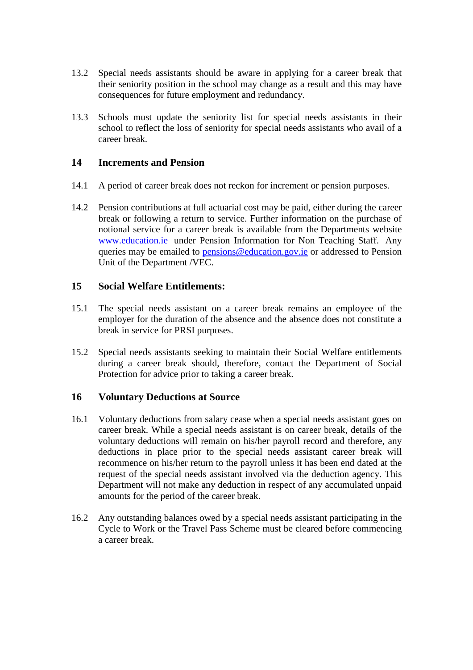- 13.2 Special needs assistants should be aware in applying for a career break that their seniority position in the school may change as a result and this may have consequences for future employment and redundancy.
- 13.3 Schools must update the seniority list for special needs assistants in their school to reflect the loss of seniority for special needs assistants who avail of a career break.

#### **14 Increments and Pension**

- 14.1 A period of career break does not reckon for increment or pension purposes.
- 14.2 Pension contributions at full actuarial cost may be paid, either during the career break or following a return to service. Further information on the purchase of notional service for a career break is available from the Departments website www.education.ie under Pension Information for Non Teaching Staff. Any queries may be emailed to pensions@education.gov.ie or addressed to Pension Unit of the Department /VEC.

#### **15 Social Welfare Entitlements:**

- 15.1 The special needs assistant on a career break remains an employee of the employer for the duration of the absence and the absence does not constitute a break in service for PRSI purposes.
- 15.2 Special needs assistants seeking to maintain their Social Welfare entitlements during a career break should, therefore, contact the Department of Social Protection for advice prior to taking a career break.

#### **16 Voluntary Deductions at Source**

- 16.1 Voluntary deductions from salary cease when a special needs assistant goes on career break. While a special needs assistant is on career break, details of the voluntary deductions will remain on his/her payroll record and therefore, any deductions in place prior to the special needs assistant career break will recommence on his/her return to the payroll unless it has been end dated at the request of the special needs assistant involved via the deduction agency. This Department will not make any deduction in respect of any accumulated unpaid amounts for the period of the career break.
- 16.2 Any outstanding balances owed by a special needs assistant participating in the Cycle to Work or the Travel Pass Scheme must be cleared before commencing a career break.